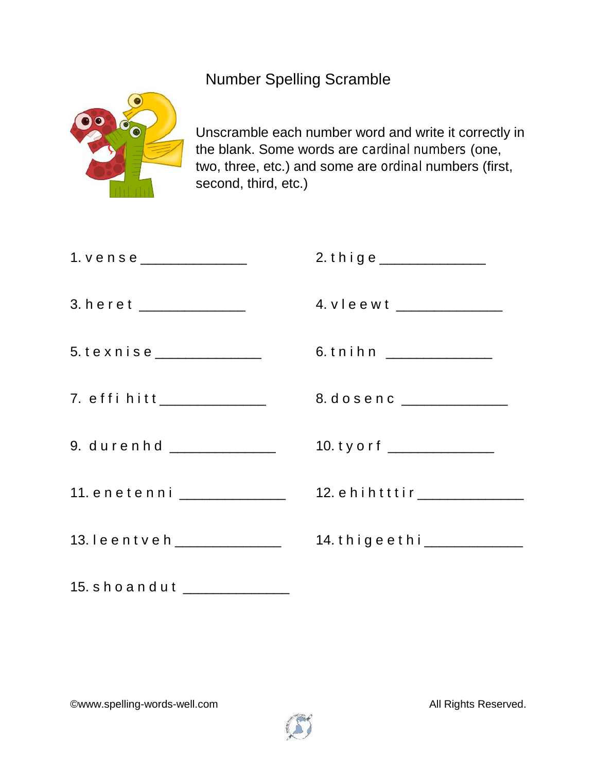Number Spelling Scramble



Unscramble each number word and write it correctly in the blank. Some words are *cardinal numbers* (one, two, three, etc.) and some are *ordinal* numbers (first, second, third, etc.)

| 1. $v e n s e$ _______________ | 2. thige ______________       |
|--------------------------------|-------------------------------|
| 3. heret ______________        | 4. vleewt _____________       |
| 5. texnise ______________      | 6.tnihn ______________        |
| 7. effi hitt______________     | 8. dosenc ______________      |
| 9. durenhd ______________      | 10. ty o r f ________________ |
| 11. enetenni ______________    | 12. ehihtttir _____________   |
| 13. leentveh ______________    | 14. thigeethi_____________    |
| 15. shoandut                   |                               |